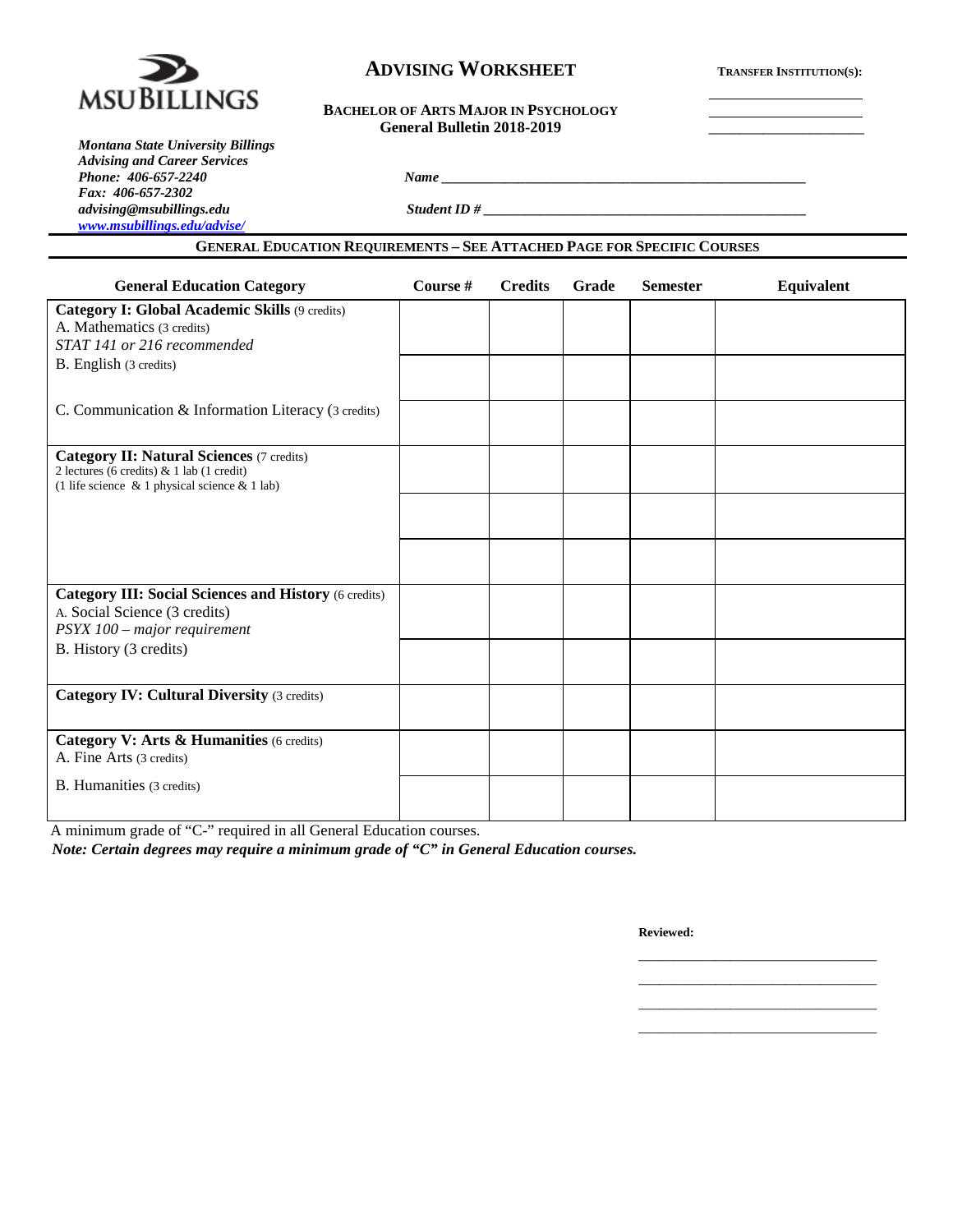

### **ADVISING WORKSHEET TRANSFER INSTITUTION(S):**

#### **BACHELOR OF ARTS MAJOR IN PSYCHOLOGY** General Bulletin 2018-2019

*Montana State University Billings Advising and Career Services Phone: 406-657-2240 Name \_\_\_\_\_\_\_\_\_\_\_\_\_\_\_\_\_\_\_\_\_\_\_\_\_\_\_\_\_\_\_\_\_\_\_\_\_\_\_\_\_\_\_\_\_\_\_\_\_\_\_\_ Fax: 406-657-2302 [www.msubillings.edu/advise/](http://www.msubillings.edu/advise/)*

*advising@msubillings.edu Student ID # \_\_\_\_\_\_\_\_\_\_\_\_\_\_\_\_\_\_\_\_\_\_\_\_\_\_\_\_\_\_\_\_\_\_\_\_\_\_\_\_\_\_\_\_\_\_*

### **GENERAL EDUCATION REQUIREMENTS – SEE ATTACHED PAGE FOR SPECIFIC COURSES**

| <b>General Education Category</b>                                                                | Course # | <b>Credits</b> | Grade | <b>Semester</b> | Equivalent |
|--------------------------------------------------------------------------------------------------|----------|----------------|-------|-----------------|------------|
| Category I: Global Academic Skills (9 credits)                                                   |          |                |       |                 |            |
| A. Mathematics (3 credits)                                                                       |          |                |       |                 |            |
| STAT 141 or 216 recommended                                                                      |          |                |       |                 |            |
| B. English (3 credits)                                                                           |          |                |       |                 |            |
|                                                                                                  |          |                |       |                 |            |
| C. Communication & Information Literacy (3 credits)                                              |          |                |       |                 |            |
|                                                                                                  |          |                |       |                 |            |
| <b>Category II: Natural Sciences (7 credits)</b>                                                 |          |                |       |                 |            |
| 2 lectures (6 credits) & 1 lab (1 credit)<br>(1 life science $\&$ 1 physical science $\&$ 1 lab) |          |                |       |                 |            |
|                                                                                                  |          |                |       |                 |            |
|                                                                                                  |          |                |       |                 |            |
|                                                                                                  |          |                |       |                 |            |
|                                                                                                  |          |                |       |                 |            |
| <b>Category III: Social Sciences and History (6 credits)</b>                                     |          |                |       |                 |            |
| A. Social Science (3 credits)                                                                    |          |                |       |                 |            |
| PSYX 100 - major requirement                                                                     |          |                |       |                 |            |
| B. History (3 credits)                                                                           |          |                |       |                 |            |
|                                                                                                  |          |                |       |                 |            |
| <b>Category IV: Cultural Diversity (3 credits)</b>                                               |          |                |       |                 |            |
|                                                                                                  |          |                |       |                 |            |
| Category V: Arts & Humanities (6 credits)                                                        |          |                |       |                 |            |
| A. Fine Arts (3 credits)                                                                         |          |                |       |                 |            |
| B. Humanities (3 credits)                                                                        |          |                |       |                 |            |
|                                                                                                  |          |                |       |                 |            |

A minimum grade of "C-" required in all General Education courses.

*Note: Certain degrees may require a minimum grade of "C" in General Education courses.*

**Reviewed:**

\_\_\_\_\_\_\_\_\_\_\_\_\_\_\_\_\_\_\_\_\_\_\_\_\_\_\_\_\_\_\_\_\_\_ \_\_\_\_\_\_\_\_\_\_\_\_\_\_\_\_\_\_\_\_\_\_\_\_\_\_\_\_\_\_\_\_\_\_ \_\_\_\_\_\_\_\_\_\_\_\_\_\_\_\_\_\_\_\_\_\_\_\_\_\_\_\_\_\_\_\_\_\_ \_\_\_\_\_\_\_\_\_\_\_\_\_\_\_\_\_\_\_\_\_\_\_\_\_\_\_\_\_\_\_\_\_\_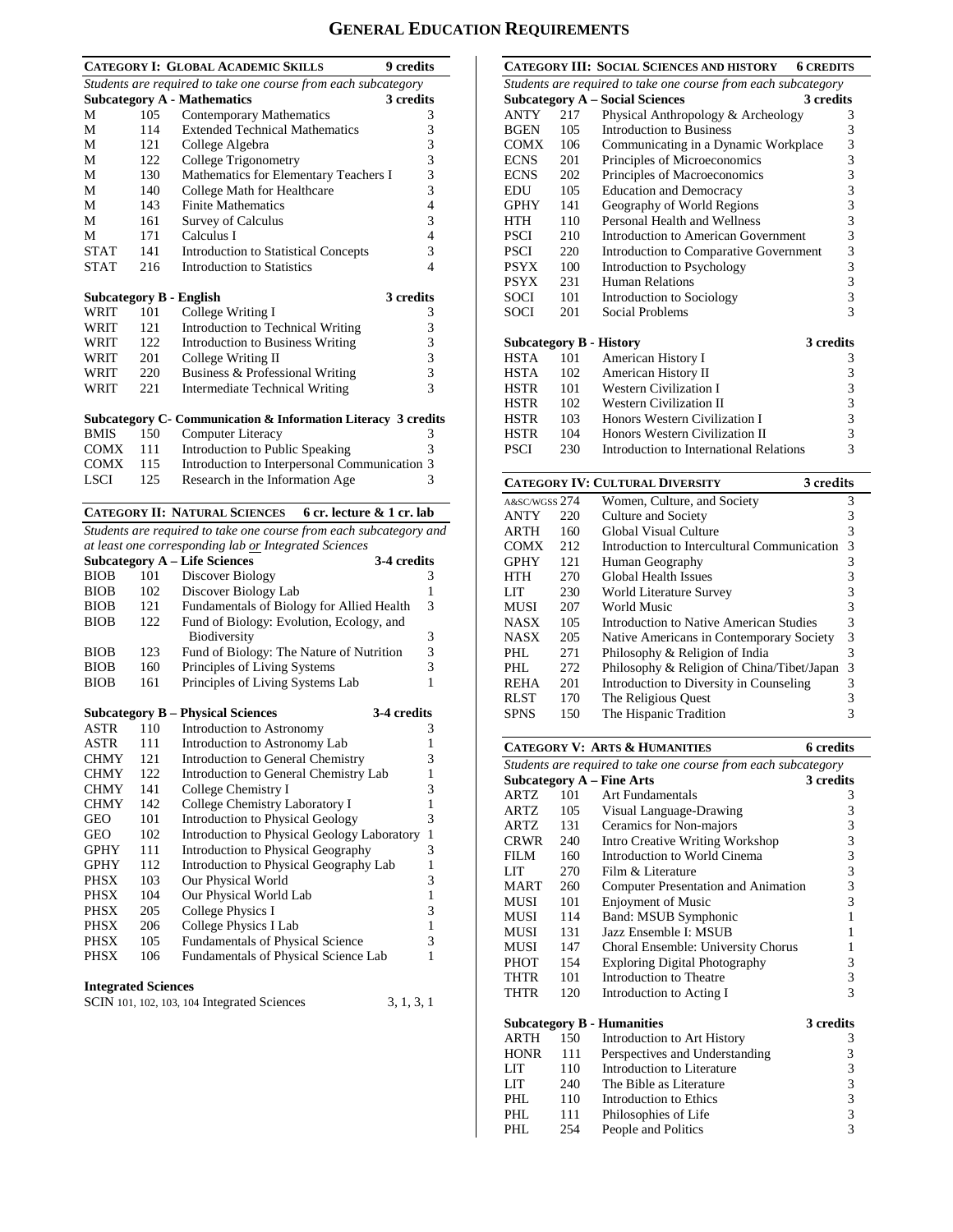# **GENERAL EDUCATION REQUIREMENTS**

|             |                                              | <b>CATEGORY I: GLOBAL ACADEMIC SKILLS</b>                          | 9 credits                |  |  |  |
|-------------|----------------------------------------------|--------------------------------------------------------------------|--------------------------|--|--|--|
|             |                                              | Students are required to take one course from each subcategory     |                          |  |  |  |
|             |                                              | <b>Subcategory A - Mathematics</b>                                 | 3 credits                |  |  |  |
| М           | 105                                          | <b>Contemporary Mathematics</b>                                    | 3                        |  |  |  |
| М           | 114                                          | <b>Extended Technical Mathematics</b>                              | 3                        |  |  |  |
| М           | 121                                          | College Algebra                                                    | 3                        |  |  |  |
| М           | 122                                          | College Trigonometry                                               | 3<br>3                   |  |  |  |
| M           | Mathematics for Elementary Teachers I<br>130 |                                                                    |                          |  |  |  |
| М           | 140                                          | College Math for Healthcare                                        | 3                        |  |  |  |
| М           | 143                                          | <b>Finite Mathematics</b>                                          | $\overline{4}$           |  |  |  |
| М           | 161                                          | <b>Survey of Calculus</b>                                          | 3                        |  |  |  |
| М           | 171                                          | Calculus I                                                         | $\overline{4}$           |  |  |  |
| <b>STAT</b> | 141                                          | <b>Introduction to Statistical Concepts</b>                        | 3                        |  |  |  |
| <b>STAT</b> | 216                                          | <b>Introduction to Statistics</b>                                  | $\overline{\mathcal{L}}$ |  |  |  |
|             |                                              |                                                                    |                          |  |  |  |
|             |                                              | <b>Subcategory B - English</b>                                     | 3 credits                |  |  |  |
| WRIT        | 101                                          | College Writing I                                                  | 3                        |  |  |  |
| WRIT        | 121                                          | Introduction to Technical Writing                                  | 3                        |  |  |  |
| WRIT        | 122                                          | <b>Introduction to Business Writing</b>                            | 3                        |  |  |  |
| WRIT        | 201                                          | College Writing II                                                 | 3                        |  |  |  |
| WRIT        | 220                                          | Business & Professional Writing                                    | 3                        |  |  |  |
| <b>WRIT</b> | 221                                          | Intermediate Technical Writing                                     | $\mathcal{R}$            |  |  |  |
|             |                                              | Subcategory C- Communication & Information Literacy 3 credits      |                          |  |  |  |
| <b>BMIS</b> | 150                                          | Computer Literacy                                                  | 3                        |  |  |  |
| COMX        | 111                                          | Introduction to Public Speaking                                    | 3                        |  |  |  |
| <b>COMX</b> | 115                                          | Introduction to Interpersonal Communication 3                      |                          |  |  |  |
| LSCI        | 125                                          | Research in the Information Age                                    | 3                        |  |  |  |
|             |                                              |                                                                    |                          |  |  |  |
|             |                                              | <b>CATEGORY II: NATURAL SCIENCES</b><br>6 cr. lecture & 1 cr. lab  |                          |  |  |  |
|             |                                              | Students are required to take one course from each subcategory and |                          |  |  |  |
|             |                                              | at least one corresponding lab or Integrated Sciences              |                          |  |  |  |
|             |                                              | <b>Subcategory A - Life Sciences</b>                               | 3-4 credits              |  |  |  |
| <b>BIOB</b> | 101                                          | Discover Biology                                                   | 3                        |  |  |  |
| <b>BIOB</b> | 102                                          | Discover Biology Lab                                               | 1                        |  |  |  |
| <b>BIOB</b> | 121                                          | Fundamentals of Biology for Allied Health                          | 3                        |  |  |  |
| <b>BIOB</b> | 122                                          | Fund of Biology: Evolution, Ecology, and                           |                          |  |  |  |
|             |                                              | <b>Biodiversity</b>                                                | 3                        |  |  |  |

|             | <b>Subcategory B – Physical Sciences</b><br>3-4 credits |                                             |   |  |  |  |  |  |
|-------------|---------------------------------------------------------|---------------------------------------------|---|--|--|--|--|--|
| ASTR        | 110                                                     | Introduction to Astronomy                   | 3 |  |  |  |  |  |
| <b>ASTR</b> | 111                                                     | Introduction to Astronomy Lab               |   |  |  |  |  |  |
| <b>CHMY</b> | 121                                                     | Introduction to General Chemistry           | 3 |  |  |  |  |  |
| <b>CHMY</b> | 122                                                     | Introduction to General Chemistry Lab       |   |  |  |  |  |  |
| <b>CHMY</b> | 141                                                     | College Chemistry I                         | 3 |  |  |  |  |  |
| <b>CHMY</b> | 142                                                     | College Chemistry Laboratory I              |   |  |  |  |  |  |
| GEO         | 101                                                     | <b>Introduction to Physical Geology</b>     | 3 |  |  |  |  |  |
| GEO         | 102                                                     | Introduction to Physical Geology Laboratory | 1 |  |  |  |  |  |
| <b>GPHY</b> | 111                                                     | Introduction to Physical Geography          | 3 |  |  |  |  |  |
| <b>GPHY</b> | 112                                                     | Introduction to Physical Geography Lab      |   |  |  |  |  |  |
| PHSX        | 103                                                     | Our Physical World                          | 3 |  |  |  |  |  |
| <b>PHSX</b> | 104                                                     | Our Physical World Lab                      |   |  |  |  |  |  |
| PHSX        | 205                                                     | College Physics I                           | 3 |  |  |  |  |  |
| PHSX        | 206                                                     | <b>College Physics I Lab</b>                | 1 |  |  |  |  |  |
| <b>PHSX</b> | 105                                                     | Fundamentals of Physical Science            | 3 |  |  |  |  |  |
| PHSX        | 106                                                     | Fundamentals of Physical Science Lab        | 1 |  |  |  |  |  |
|             |                                                         |                                             |   |  |  |  |  |  |

BIOB 123 Fund of Biology: The Nature of Nutrition 3 BIOB 160 Principles of Living Systems 3 BIOB 161 Principles of Living Systems Lab 1

| <b>Integrated Sciences</b> |  |
|----------------------------|--|
|----------------------------|--|

| SCIN 101, 102, 103, 104 Integrated Sciences | 3, 1, 3, 1 |
|---------------------------------------------|------------|
|---------------------------------------------|------------|

|                                |                                                                | CATEGORY III: SOCIAL SCIENCES AND HISTORY | <b>6 CREDITS</b> |  |  |  |
|--------------------------------|----------------------------------------------------------------|-------------------------------------------|------------------|--|--|--|
|                                | Students are required to take one course from each subcategory |                                           |                  |  |  |  |
|                                |                                                                | <b>Subcategory A - Social Sciences</b>    | 3 credits        |  |  |  |
| ANTY                           | 217                                                            | Physical Anthropology & Archeology        | 3                |  |  |  |
| <b>BGEN</b>                    | 105                                                            | Introduction to Business                  | 3                |  |  |  |
| COMX                           | 106                                                            | Communicating in a Dynamic Workplace      | 3                |  |  |  |
| <b>ECNS</b>                    | 201                                                            | Principles of Microeconomics              | 3                |  |  |  |
| <b>ECNS</b>                    | 202                                                            | Principles of Macroeconomics              | 3                |  |  |  |
| <b>EDU</b>                     | 105                                                            | <b>Education and Democracy</b>            | 3                |  |  |  |
| <b>GPHY</b>                    | 141                                                            | Geography of World Regions                | 3                |  |  |  |
| <b>HTH</b>                     | 110                                                            | Personal Health and Wellness              | 3                |  |  |  |
| <b>PSCI</b>                    | 3<br>210<br>Introduction to American Government                |                                           |                  |  |  |  |
| <b>PSCI</b>                    | 220                                                            | Introduction to Comparative Government    | 3                |  |  |  |
| <b>PSYX</b>                    | 100                                                            | Introduction to Psychology                | 3                |  |  |  |
| <b>PSYX</b>                    | 231                                                            | Human Relations                           | 3                |  |  |  |
| <b>SOCI</b>                    | 101                                                            | Introduction to Sociology                 | 3                |  |  |  |
| SOCI                           | 201                                                            | Social Problems                           | $\mathcal{R}$    |  |  |  |
|                                |                                                                |                                           |                  |  |  |  |
| <b>Subcategory B - History</b> |                                                                |                                           | 3 credits        |  |  |  |
| <b>HSTA</b>                    | 101                                                            | American History I                        | 3                |  |  |  |
| HSTA                           | 102                                                            | American History II                       | 3                |  |  |  |
| <b>HSTR</b>                    | 101                                                            | <b>Western Civilization I</b>             | 3                |  |  |  |
| <b>HSTR</b>                    | 102                                                            | <b>Western Civilization II</b>            | 3                |  |  |  |
| HSTR                           | 103                                                            | Honors Western Civilization I             | 3                |  |  |  |
| <b>HSTR</b>                    | 104                                                            | Honors Western Civilization II            | $\overline{3}$   |  |  |  |
| <b>PSCI</b>                    | 230                                                            | Introduction to International Relations   | 3                |  |  |  |
|                                |                                                                |                                           |                  |  |  |  |

|               |     | <b>CATEGORY IV: CULTURAL DIVERSITY</b>      | 3 credits |   |
|---------------|-----|---------------------------------------------|-----------|---|
| A&SC/WGSS 274 |     | Women, Culture, and Society                 |           | 3 |
| <b>ANTY</b>   | 220 | Culture and Society                         |           | 3 |
| <b>ARTH</b>   | 160 | Global Visual Culture                       |           | 3 |
| <b>COMX</b>   | 212 | Introduction to Intercultural Communication |           | 3 |
| <b>GPHY</b>   | 121 | Human Geography                             |           | 3 |
| HTH           | 270 | Global Health Issues                        |           | 3 |
| LIT           | 230 | World Literature Survey                     |           | 3 |
| <b>MUSI</b>   | 207 | World Music                                 |           | 3 |
| <b>NASX</b>   | 105 | Introduction to Native American Studies     |           | 3 |
| <b>NASX</b>   | 205 | Native Americans in Contemporary Society    |           | 3 |
| PHL.          | 271 | Philosophy & Religion of India              |           | 3 |
| PHL.          | 272 | Philosophy & Religion of China/Tibet/Japan  |           | 3 |
| <b>REHA</b>   | 201 | Introduction to Diversity in Counseling     |           | 3 |
| <b>RLST</b>   | 170 | The Religious Quest                         |           | 3 |
| <b>SPNS</b>   | 150 | The Hispanic Tradition                      |           | 3 |
|               |     |                                             |           |   |

|             |                                                                | <b>CATEGORY V: ARTS &amp; HUMANITIES</b> | 6 credits                                  |  |  |  |  |
|-------------|----------------------------------------------------------------|------------------------------------------|--------------------------------------------|--|--|--|--|
|             | Students are required to take one course from each subcategory |                                          |                                            |  |  |  |  |
|             |                                                                | Subcategory $A$ – Fine Arts              | 3 credits                                  |  |  |  |  |
| ARTZ        | 101                                                            | Art Fundamentals                         | 3                                          |  |  |  |  |
| ARTZ        | 105                                                            | Visual Language-Drawing                  | 3                                          |  |  |  |  |
| <b>ARTZ</b> | 131                                                            | Ceramics for Non-majors                  | $33333$<br>$333$                           |  |  |  |  |
| CRWR        | 240                                                            | <b>Intro Creative Writing Workshop</b>   |                                            |  |  |  |  |
| FILM        | 160                                                            | Introduction to World Cinema             |                                            |  |  |  |  |
| LIT.        | 270                                                            | Film & Literature                        |                                            |  |  |  |  |
| MART        | 260                                                            | Computer Presentation and Animation      |                                            |  |  |  |  |
| <b>MUSI</b> | 101                                                            | <b>Enjoyment of Music</b>                |                                            |  |  |  |  |
| MUSI        | 114                                                            | Band: MSUB Symphonic                     | $\mathbf{1}$                               |  |  |  |  |
| MUSI        | 131                                                            | Jazz Ensemble I: MSUB                    | 1                                          |  |  |  |  |
| MUSI        | 147                                                            | Choral Ensemble: University Chorus       | 1                                          |  |  |  |  |
| <b>PHOT</b> | 154                                                            | <b>Exploring Digital Photography</b>     |                                            |  |  |  |  |
| THTR        | 101                                                            | Introduction to Theatre                  | $\frac{3}{3}$                              |  |  |  |  |
| THTR        | 120                                                            | Introduction to Acting I                 | $\overline{\mathcal{E}}$                   |  |  |  |  |
|             |                                                                | <b>Subcategory B - Humanities</b>        | 3 credits                                  |  |  |  |  |
| <b>ARTH</b> | 150                                                            | Introduction to Art History              | 3                                          |  |  |  |  |
| <b>HONR</b> | 111                                                            | Perspectives and Understanding           |                                            |  |  |  |  |
| LIT         | 110                                                            | Introduction to Literature               | $\begin{array}{c} 3 \\ 3 \\ 3 \end{array}$ |  |  |  |  |
| LIT         | 240                                                            | The Bible as Literature                  |                                            |  |  |  |  |
| PHI.        | 110                                                            | Introduction to Ethics                   |                                            |  |  |  |  |
| PHI.        | 111                                                            | Philosophies of Life                     | $\begin{array}{c} 3 \\ 3 \\ 3 \end{array}$ |  |  |  |  |
| PHL         | 254                                                            | People and Politics                      |                                            |  |  |  |  |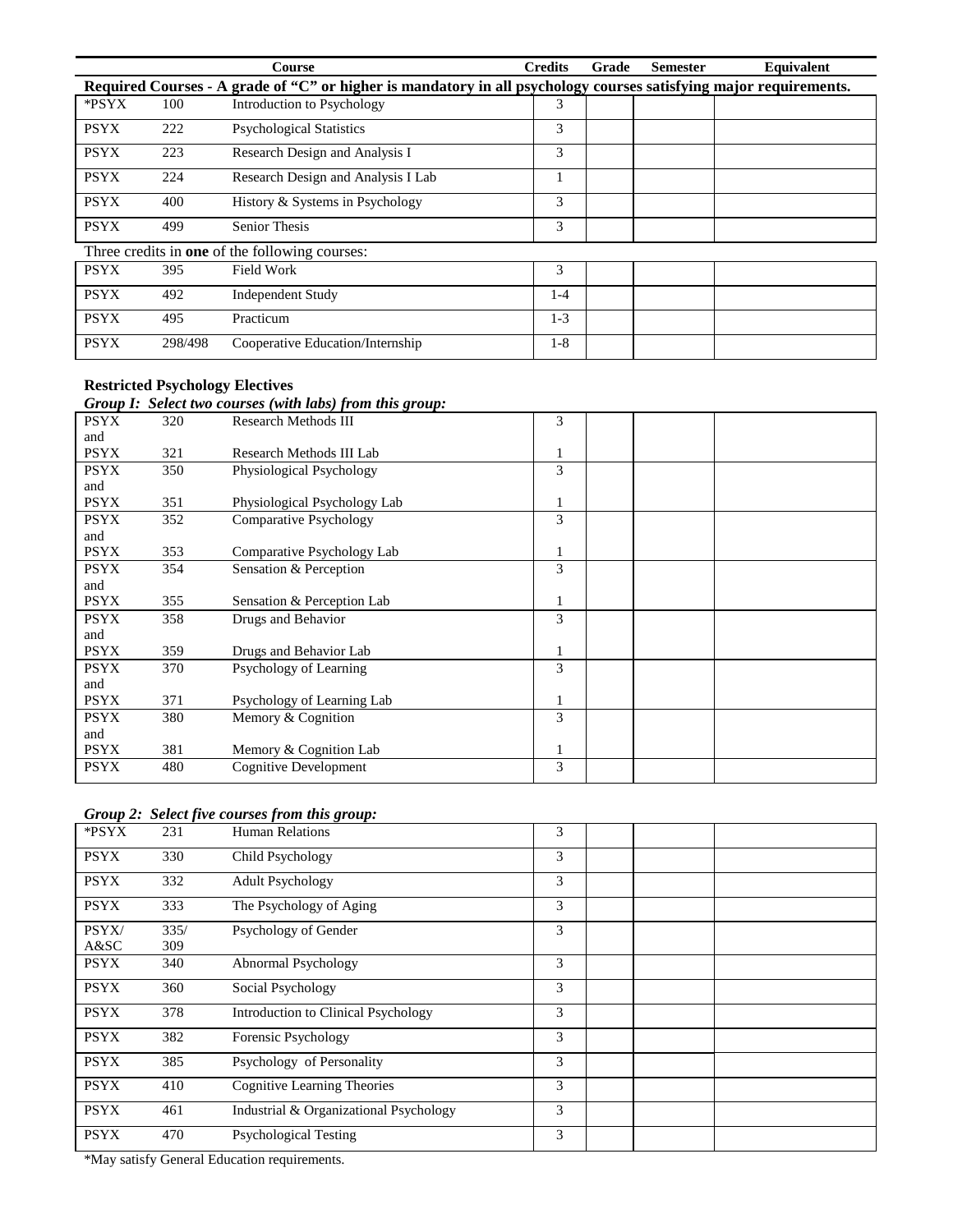|             |         | Course                                                                                                            | <b>Credits</b> | Grade | <b>Semester</b> | Equivalent |
|-------------|---------|-------------------------------------------------------------------------------------------------------------------|----------------|-------|-----------------|------------|
|             |         | Required Courses - A grade of "C" or higher is mandatory in all psychology courses satisfying major requirements. |                |       |                 |            |
| *PSYX       | 100     | Introduction to Psychology                                                                                        | 3              |       |                 |            |
| <b>PSYX</b> | 222     | <b>Psychological Statistics</b>                                                                                   | 3              |       |                 |            |
| <b>PSYX</b> | 223     | Research Design and Analysis I                                                                                    | 3              |       |                 |            |
| <b>PSYX</b> | 224     | Research Design and Analysis I Lab                                                                                |                |       |                 |            |
| <b>PSYX</b> | 400     | History & Systems in Psychology                                                                                   | 3              |       |                 |            |
| <b>PSYX</b> | 499     | <b>Senior Thesis</b>                                                                                              | 3              |       |                 |            |
|             |         | Three credits in <b>one</b> of the following courses:                                                             |                |       |                 |            |
| <b>PSYX</b> | 395     | Field Work                                                                                                        | 3              |       |                 |            |
| <b>PSYX</b> | 492     | <b>Independent Study</b>                                                                                          | 1-4            |       |                 |            |
| <b>PSYX</b> | 495     | Practicum                                                                                                         | $1-3$          |       |                 |            |
| <b>PSYX</b> | 298/498 | Cooperative Education/Internship                                                                                  | $1-8$          |       |                 |            |

## **Restricted Psychology Electives**

### *Group I: Select two courses (with labs) from this group:*

|             |     | $\sigma$ , $\sigma$ , $\sigma$ , $\sigma$ , $\sigma$ , $\sigma$ , $\sigma$ , $\sigma$ , $\sigma$ , $\sigma$ , $\sigma$ , $\sigma$ , $\sigma$ , $\sigma$ , $\sigma$ , $\sigma$ , $\sigma$ , $\sigma$ , $\sigma$ , $\sigma$ , $\sigma$ , $\sigma$ , $\sigma$ , $\sigma$ , $\sigma$ , $\sigma$ , $\sigma$ , $\sigma$ , $\sigma$ , $\sigma$ , $\sigma$ , $\sigma$ |   |  |
|-------------|-----|---------------------------------------------------------------------------------------------------------------------------------------------------------------------------------------------------------------------------------------------------------------------------------------------------------------------------------------------------------------|---|--|
| <b>PSYX</b> | 320 | <b>Research Methods III</b>                                                                                                                                                                                                                                                                                                                                   | 3 |  |
| and         |     |                                                                                                                                                                                                                                                                                                                                                               |   |  |
| <b>PSYX</b> | 321 | Research Methods III Lab                                                                                                                                                                                                                                                                                                                                      |   |  |
| <b>PSYX</b> | 350 | Physiological Psychology                                                                                                                                                                                                                                                                                                                                      | 3 |  |
| and         |     |                                                                                                                                                                                                                                                                                                                                                               |   |  |
| <b>PSYX</b> | 351 | Physiological Psychology Lab                                                                                                                                                                                                                                                                                                                                  | 1 |  |
| <b>PSYX</b> | 352 | <b>Comparative Psychology</b>                                                                                                                                                                                                                                                                                                                                 | 3 |  |
| and         |     |                                                                                                                                                                                                                                                                                                                                                               |   |  |
| <b>PSYX</b> | 353 | Comparative Psychology Lab                                                                                                                                                                                                                                                                                                                                    |   |  |
| <b>PSYX</b> | 354 | Sensation & Perception                                                                                                                                                                                                                                                                                                                                        | 3 |  |
| and         |     |                                                                                                                                                                                                                                                                                                                                                               |   |  |
| <b>PSYX</b> | 355 | Sensation & Perception Lab                                                                                                                                                                                                                                                                                                                                    |   |  |
| <b>PSYX</b> | 358 | Drugs and Behavior                                                                                                                                                                                                                                                                                                                                            | 3 |  |
| and         |     |                                                                                                                                                                                                                                                                                                                                                               |   |  |
| <b>PSYX</b> | 359 | Drugs and Behavior Lab                                                                                                                                                                                                                                                                                                                                        |   |  |
| <b>PSYX</b> | 370 | Psychology of Learning                                                                                                                                                                                                                                                                                                                                        | 3 |  |
| and         |     |                                                                                                                                                                                                                                                                                                                                                               |   |  |
| <b>PSYX</b> | 371 | Psychology of Learning Lab                                                                                                                                                                                                                                                                                                                                    |   |  |
| <b>PSYX</b> | 380 | Memory & Cognition                                                                                                                                                                                                                                                                                                                                            | 3 |  |
| and         |     |                                                                                                                                                                                                                                                                                                                                                               |   |  |
| <b>PSYX</b> | 381 | Memory & Cognition Lab                                                                                                                                                                                                                                                                                                                                        |   |  |
| <b>PSYX</b> | 480 | Cognitive Development                                                                                                                                                                                                                                                                                                                                         | 3 |  |
|             |     |                                                                                                                                                                                                                                                                                                                                                               |   |  |

### *Group 2: Select five courses from this group:*

| *PSYX       | 231  | <b>Human Relations</b>                 | 3 |  |  |
|-------------|------|----------------------------------------|---|--|--|
| <b>PSYX</b> | 330  | Child Psychology                       | 3 |  |  |
| <b>PSYX</b> | 332  | <b>Adult Psychology</b>                | 3 |  |  |
| <b>PSYX</b> | 333  | The Psychology of Aging                | 3 |  |  |
| PSYX/       | 335/ | Psychology of Gender                   | 3 |  |  |
| A&SC        | 309  |                                        |   |  |  |
| <b>PSYX</b> | 340  | Abnormal Psychology                    | 3 |  |  |
| <b>PSYX</b> | 360  | Social Psychology                      | 3 |  |  |
| <b>PSYX</b> | 378  | Introduction to Clinical Psychology    | 3 |  |  |
| <b>PSYX</b> | 382  | Forensic Psychology                    | 3 |  |  |
| <b>PSYX</b> | 385  | Psychology of Personality              | 3 |  |  |
| <b>PSYX</b> | 410  | <b>Cognitive Learning Theories</b>     | 3 |  |  |
| <b>PSYX</b> | 461  | Industrial & Organizational Psychology | 3 |  |  |
| <b>PSYX</b> | 470  | <b>Psychological Testing</b>           | 3 |  |  |

\*May satisfy General Education requirements.